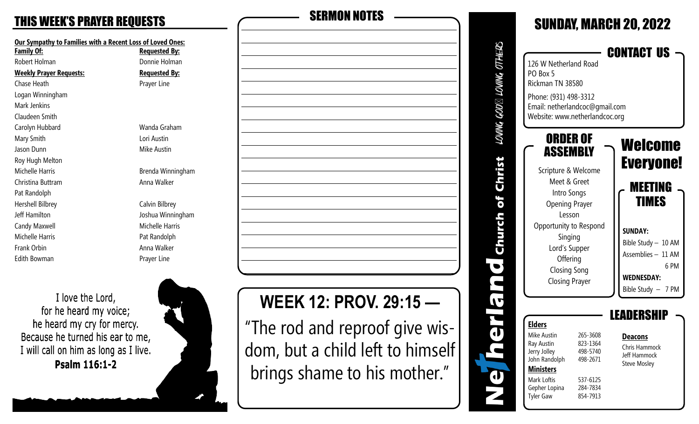**Our Sympathy to Families with a Recent Loss of Loved Ones: Family Of: Requested By:** Robert Holman **Donnie Holman Weekly Prayer Requests: Requested By:** Chase Heath **Prayer Line** Logan Winningham Mark Jenkins Claudeen Smith Carolyn Hubbard Wanda Graham Mary Smith **Lori Austin** Jason Dunn **Mike Austin** Roy Hugh Melton Michelle Harris Brenda Winningham Christina Buttram **Anna Walker** Pat Randolph Hershell Bilbrey Calvin Bilbrey Jeff Hamilton Joshua Winningham Candy Maxwell **Michelle Harris** Michelle Harris Michelle Harris **Pat Randolph** Frank Orbin **Anna Walker Anna Walker** Edith Bowman **Prayer Line** 

I love the Lord, for he heard my voice; he heard my cry for mercy. Because he turned his ear to me, I will call on him as long as I live. Psalm 116:1-2



# THIS WEEK'S PRAYER REQUESTS SERMON NOTES

# **WEEK 12: PROV. 29:15 —**

"The rod and reproof give wisdom, but a child left to himself brings shame to his mother."

| 126 W Netherland Road<br>PO Box 5<br>Rickman TN 38580<br>Phone: (931) 498-3312<br>Email: netherlandcoc@gmail.com<br>Website: www.netherlandcoc.org<br>ORDER OF<br>Welcome<br>ASSEMBLY<br><b>Everyone!</b><br>Scripture & Welcome<br>Meet & Greet<br><b>MEETING</b><br>Intro Songs<br>IMES<br><b>Opening Prayer</b><br>Lesson<br>Opportunity to Respond<br><b>SUNDAY:</b><br>Singing<br>Bible Study - 10 AM<br>Lord's Supper<br>Assemblies - 11 AM<br>Offering<br>6 PM<br><b>Closing Song</b><br><b>Closing Prayer</b> |                                                                      |                                  | <b>SUNDAY, MARCH 20, 2022</b><br><b>CONTACT US</b> |
|-----------------------------------------------------------------------------------------------------------------------------------------------------------------------------------------------------------------------------------------------------------------------------------------------------------------------------------------------------------------------------------------------------------------------------------------------------------------------------------------------------------------------|----------------------------------------------------------------------|----------------------------------|----------------------------------------------------|
|                                                                                                                                                                                                                                                                                                                                                                                                                                                                                                                       |                                                                      |                                  |                                                    |
|                                                                                                                                                                                                                                                                                                                                                                                                                                                                                                                       |                                                                      |                                  | <b>WEDNESDAY:</b>                                  |
|                                                                                                                                                                                                                                                                                                                                                                                                                                                                                                                       | <b>Ministers</b><br>Mark Loftis<br>Gepher Lopina<br><b>Tyler Gaw</b> | 537-6125<br>284-7834<br>854-7913 |                                                    |